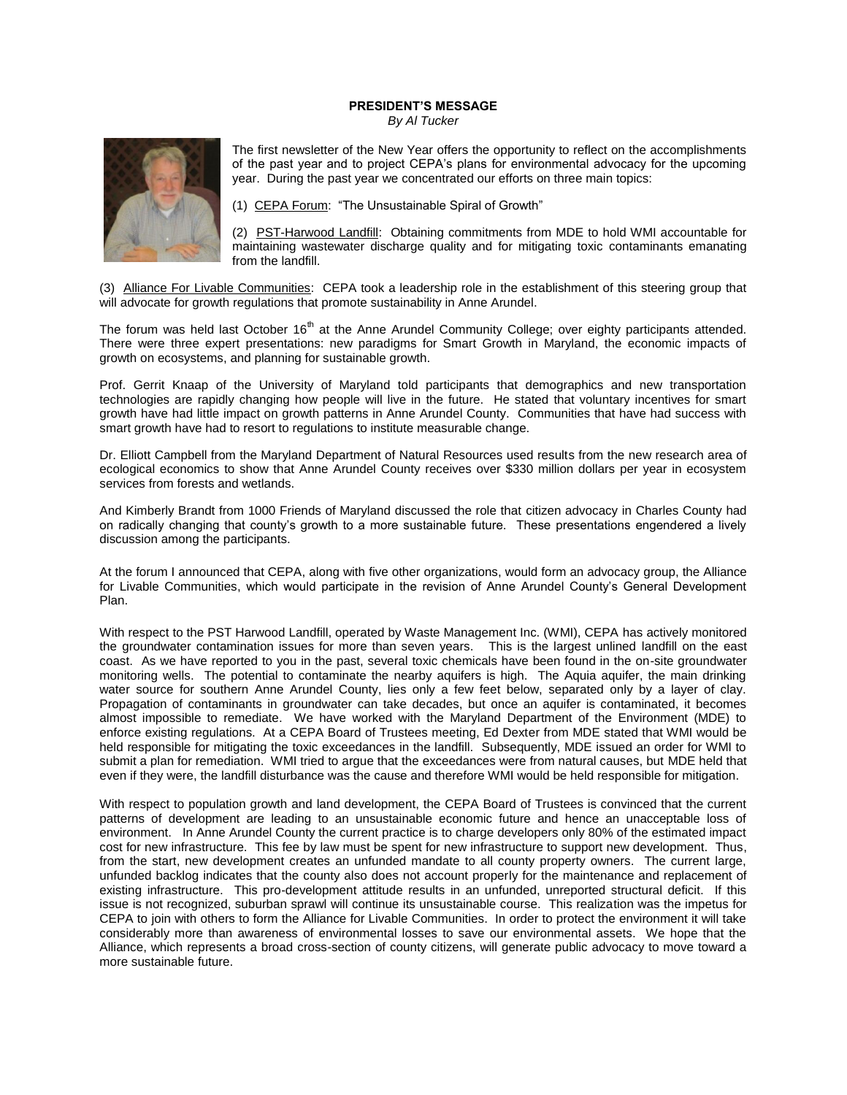## **PRESIDENT'S MESSAGE**

*By Al Tucker*



The first newsletter of the New Year offers the opportunity to reflect on the accomplishments of the past year and to project CEPA's plans for environmental advocacy for the upcoming year. During the past year we concentrated our efforts on three main topics:

(1) CEPA Forum: "The Unsustainable Spiral of Growth"

(2) PST-Harwood Landfill: Obtaining commitments from MDE to hold WMI accountable for maintaining wastewater discharge quality and for mitigating toxic contaminants emanating from the landfill.

(3) Alliance For Livable Communities: CEPA took a leadership role in the establishment of this steering group that will advocate for growth regulations that promote sustainability in Anne Arundel.

The forum was held last October 16<sup>th</sup> at the Anne Arundel Community College; over eighty participants attended. There were three expert presentations: new paradigms for Smart Growth in Maryland, the economic impacts of growth on ecosystems, and planning for sustainable growth.

Prof. Gerrit Knaap of the University of Maryland told participants that demographics and new transportation technologies are rapidly changing how people will live in the future. He stated that voluntary incentives for smart growth have had little impact on growth patterns in Anne Arundel County. Communities that have had success with smart growth have had to resort to regulations to institute measurable change.

Dr. Elliott Campbell from the Maryland Department of Natural Resources used results from the new research area of ecological economics to show that Anne Arundel County receives over \$330 million dollars per year in ecosystem services from forests and wetlands.

And Kimberly Brandt from 1000 Friends of Maryland discussed the role that citizen advocacy in Charles County had on radically changing that county's growth to a more sustainable future. These presentations engendered a lively discussion among the participants.

At the forum I announced that CEPA, along with five other organizations, would form an advocacy group, the Alliance for Livable Communities, which would participate in the revision of Anne Arundel County's General Development Plan.

With respect to the PST Harwood Landfill, operated by Waste Management Inc. (WMI), CEPA has actively monitored the groundwater contamination issues for more than seven years. This is the largest unlined landfill on the east coast. As we have reported to you in the past, several toxic chemicals have been found in the on-site groundwater monitoring wells. The potential to contaminate the nearby aquifers is high. The Aquia aquifer, the main drinking water source for southern Anne Arundel County, lies only a few feet below, separated only by a layer of clay. Propagation of contaminants in groundwater can take decades, but once an aquifer is contaminated, it becomes almost impossible to remediate. We have worked with the Maryland Department of the Environment (MDE) to enforce existing regulations. At a CEPA Board of Trustees meeting, Ed Dexter from MDE stated that WMI would be held responsible for mitigating the toxic exceedances in the landfill. Subsequently, MDE issued an order for WMI to submit a plan for remediation. WMI tried to argue that the exceedances were from natural causes, but MDE held that even if they were, the landfill disturbance was the cause and therefore WMI would be held responsible for mitigation.

With respect to population growth and land development, the CEPA Board of Trustees is convinced that the current patterns of development are leading to an unsustainable economic future and hence an unacceptable loss of environment. In Anne Arundel County the current practice is to charge developers only 80% of the estimated impact cost for new infrastructure. This fee by law must be spent for new infrastructure to support new development. Thus, from the start, new development creates an unfunded mandate to all county property owners. The current large, unfunded backlog indicates that the county also does not account properly for the maintenance and replacement of existing infrastructure. This pro-development attitude results in an unfunded, unreported structural deficit. If this issue is not recognized, suburban sprawl will continue its unsustainable course. This realization was the impetus for CEPA to join with others to form the Alliance for Livable Communities. In order to protect the environment it will take considerably more than awareness of environmental losses to save our environmental assets. We hope that the Alliance, which represents a broad cross-section of county citizens, will generate public advocacy to move toward a more sustainable future.